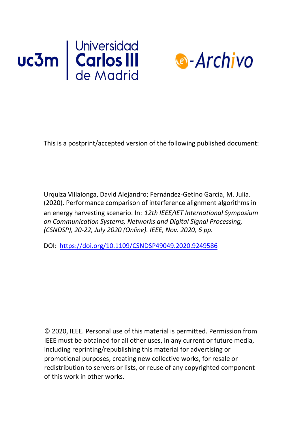



This is a postprint/accepted version of the following published document:

Urquiza Villalonga, David Alejandro; Fernández-Getino García, M. Julia. (2020). Performance comparison of interference alignment algorithms in an energy harvesting scenario. In: *12th IEEE/IET International Symposium on Communication Systems, Networks and Digital Signal Processing, (CSNDSP), 20-22, July 2020 (Online). IEEE, Nov. 2020, 6 pp.*

DOI: <https://doi.org/10.1109/CSNDSP49049.2020.9249586>

© 2020, IEEE. Personal use of this material is permitted. Permission from IEEE must be obtained for all other uses, in any current or future media, including reprinting/republishing this material for advertising or promotional purposes, creating new collective works, for resale or redistribution to servers or lists, or reuse of any copyrighted component of this work in [other works.](https://creativecommons.org/licenses/by-nc-nd/4.0/)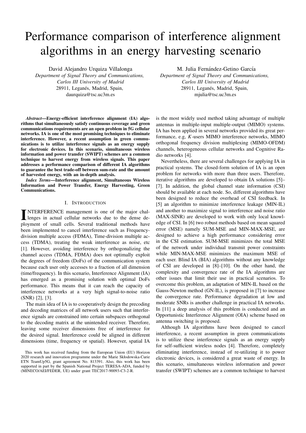# Performance comparison of interference alignment algorithms in an energy harvesting scenario

David Alejandro Urquiza Villalonga

*Department of Signal Theory and Communications, Carlos III University of Madrid* 28911, Leganés, Madrid, Spain, daurquiza@tsc.uc3m.es

*Abstract*—Energy-efficient interference alignment (IA) algorithms that simultaneously satisfy continuous coverage and green communications requirements are an open problem in 5G cellular networks. IA is one of the most promising techniques to eliminate interference. However, a recent assumption in green communications is to utilize interference signals as an energy supply for electronic devices. In this scenario, simultaneous wireless information and power transfer (SWIPT) schemes are a common technique to harvest energy from wireless signals. This paper addresses a performance comparison of different IA algorithms to guarantee the best trade-off between sum-rate and the amount of harvested energy, with an in-depth analysis.

*Index Terms*—Interference alignment, Simultaneous Wireless Information and Power Transfer, Energy Harvesting, Green Communications.

#### I. INTRODUCTION

INTERFERENCE management is one of the major challenges in actual cellular networks due to the dense de-NTERFERENCE management is one of the major chalployment of small cells. Several traditional methods have been implemented to cancel interference such as Frequencydivision multiple access (FDMA), Time-division multiple access (TDMA), treating the weak interference as noise, etc [1]. However, avoiding interference by orthogonalizing the channel access (TDMA, FDMA) does not optimally exploit the degrees of freedom (DoFs) of the communication system because each user only accesses to a fraction of all dimension (time/frequency). In this scenario, Interference Alignment (IA) has emerged as a promising solution with optimal DoFs performance. This means that it can reach the capacity of interference networks at a very high signal-to-noise ratio (SNR) [2], [3].

The main idea of IA is to cooperatively design the precoding and decoding matrices of all network users such that interference signals are constrained into certain subspaces orthogonal to the decoding matrix at the unintended receiver. Therefore, leaving some receiver dimensions free of interference for the desired signal. Interference could be aligned in different dimensions (time, frequency or spatial). However, spatial IA

M. Julia Fernández-Getino García

*Department of Signal Theory and Communications, Carlos III University of Madrid* 28911, Leganés, Madrid, Spain, mjulia@tsc.uc3m.es

is the most widely used method taking advantage of multiple antennas in multiple-input multiple-output (MIMO) systems. IA has been applied in several networks provided its great performance, e.g, *K*-users MIMO interference networks, MIMO orthogonal frequency division multiplexing (MIMO-OFDM) channels, heterogeneous cellular networks and Cognitive Radio networks [4].

Nevertheless, there are several challenges for applying IA in practical systems. The closed-form solution of IA is an open problem for networks with more than three users. Therefore, iterative algorithms are developed to obtain IA solutions [5]– [7]. In addition, the global channel state information (CSI) should be available at each node. So, different algorithms have been designed to reduce the overhead of CSI feedback. In [5] an algorithm to minimize interference leakage (MIN-IL) and another to maximize signal to interference and noise ratio (MAX-SINR) are developed to work with only local knowledge of CSI. In [6] two robust methods based on mean squared error (MSE) namely SUM-MSE and MIN-MAX-MSE, are designed to achieve a high performance considering error in the CSI estimation. SUM-MSE minimizes the total MSE of the network under individual transmit power constraints while MIN-MAX-MSE minimizes the maximum MSE of each user. Blind IA (BIA) algorithms without any knowledge of CSI are developed in [8]–[10]. On the other hand, the complexity and convergence rate of the IA algorithms are other issues that limit their use in practical scenarios. To overcome this problem, an adaptation of MIN-IL based on the Gauss-Newton method (GN-IL), is proposed in [7] to increase the convergence rate. Performance degradation at low and moderate SNRs is another challenge in practical IA networks. In [11] a deep analysis of this problem is conducted and an Opportunistic Interference Alignment (OIA) scheme based on antenna switching is proposed.

Although IA algorithms have been designed to cancel interference, a recent assumption in green communications is to utilize these interference signals as an energy supply for self-sufficient wireless nodes [4]. Therefore, completely eliminating interference, instead of re-utilizing it to power electronic devices, is considered a great waste of energy. In this scenario, simultaneous wireless information and power transfer (SWIPT) schemes are a common technique to harvest

This work has received funding from the European Union (EU) Horizon 2020 research and innovation programme under the Marie Skłodowska-Curie ETN TeamUp5G, grant agreement No. 813391. Also, this work has been supported in part by the Spanish National Project TERESA-ADA, funded by (MINECO/AEI/FEDER, UE) under grant TEC2017-90093-C3-2-R.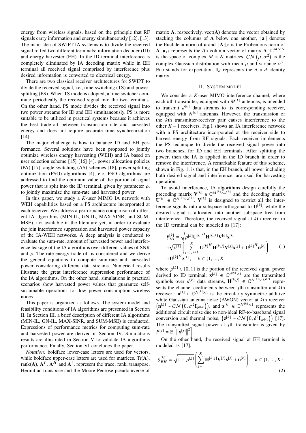energy from wireless signals, based on the principle that RF signals carry information and energy simultaneously [12], [13]. The main idea of SWIPT-IA systems is to divide the received signal to fed two different terminals: information decoder (ID) and energy harvester (EH). In the ID terminal interference is completely eliminated by IA decoding matrix while in EH terminal all received signal comprised by interference plus desired information is converted to electrical energy.

There are two classical receiver architectures for SWIPT to divide the received signal, i.e., time-switching (TS) and powersplitting (PS). When TS mode is adopted, a time switcher commute periodically the received signal into the two terminals. On the other hand, PS mode divides the received signal into two power streams for ID and EH simultaneously. PS is more suitable to be utilized in practical systems because it achieves the best trade-off between transmission rate and harvested energy and does not require accurate time synchronization [14].

The major challenge is how to balance ID and EH performance. Several solutions have been proposed to jointly optimize wireless energy harvesting (WEH) and IA based on user selection scheme [15] [16] [4], power allocation policies (PA) [17], angle switching (AS) schemes [18], power splitting optimization (PSO) algorithms [4], etc. PSO algorithms are addressed to find the optimum value of the portion of signal power that is split into the ID terminal, given by parameter  $\rho$ , to jointly maximize the sum-rate and harvested power.

In this paper, we study a *K*-user MIMO IA network with WEH capabilities based on a PS architecture incorporated at each receiver. We address a performance comparison of different IA algorithms (MIN-IL, GN-IL, MAX-SINR, and SUM-MSE), not available in the literature yet, in order to evaluate the join interference suppression and harvested power capacity of the IA-WEH networks. A deep analysis is conducted to evaluate the sum-rate, amount of harvested power and interference leakage of the IA algorithms over different values of SNR and  $\rho$ . The rate-energy trade-off is considered and we derive the general equations to compute sum-rate and harvested power considering different data streams. Numerical results illustrate the great interference suppression performance of the IA algorithms. On the other hand, simulations in practical scenarios show harvested power values that guarantee selfsustainable operations for low power consumption wireless nodes.

This paper is organized as follows. The system model and feasibility conditions of IA algorithms are presented in Section II. In Section III, a brief description of different IA algorithms (MIN-IL, GN-IL, MAX-SINR, and SUM-MSE) is conducted. Expressions of performance metrics for computing sum-rate and harvested power are derived in Section IV. Simulations results are illustrated in Section V to validate IA algorithms performance. Finally, Section VI concludes the paper.

*Notation:* boldface lower-case letters are used for vectors, while boldface upper-case letters are used for matrices.  $Tr(A)$ , rank(A),  $A^T$ ,  $A^H$  and  $A^{\dagger}$ , represent the trace, rank, transpose, Hermitian transpose and the Moore-Penrose pseudoinverse of matrix  $A$ , respectively. vect $(A)$  denotes the vector obtained by stacking the columns of A below one another,  $\|\mathbf{a}\|$  denotes the Euclidean norm of **a** and  $||A||_F$  is the Frobenious norm of **A.**  $a_{*l}$  represents the *l*th column vector of matrix **A.**  $\mathbb{C}^{M \times N}$ is the space of complex  $M \times N$  matrices.  $CN(\mu, \sigma^2)$  is the complex Gaussian distribution with mean u and variance  $\sigma^2$ complex Gaussian distribution with mean  $\mu$  and variance  $\sigma^2$ .<br>  $\mathbb{E}(\cdot)$  stands for expectation **I**<sub>L</sub> represents the  $d \times d$  identity  $\mathbb{E}(\cdot)$  stands for expectation.  $I_d$  represents the  $d \times d$  identity matrix.

#### II. SYSTEM MODEL

We consider a *K*-user MIMO interference channel, where each *k*th transmitter, equipped with  $M^{[k]}$  antennas, is intended to transmit  $d^{[k]}$  data streams to its corresponding receiver, equipped with  $N^{[k]}$  antennas. However, the transmission of the *k*th transmitter-receiver pair causes interference to the other *K* − 1 receivers. Fig.1 shows an IA interference network with a PS architecture incorporated at the receiver side to harvest energy from RF signals. Each receiver implements the PS technique to divide the received signal power into two branches, for ID and EH terminals. After splitting the power, then the IA is applied in the ID branch in order to remove the interference. A remarkable feature of this scheme, shown in Fig. 1, is that, in the EH branch, all power including both desired signal and interference, are used for harvesting operation.

To avoid interference, IA algorithms design carefully the precoding matrix  $V^{[k]} \in \mathbb{C}^{M^{[k]} \times d^{[k]}}$  and the decoding matrix  $\mathbf{U}^{[k]} \in \mathbb{C}^{N^{[k]} \times d^{[k]}}$ .  $\mathbf{V}^{[k]}$  is designed to restrict all the interference signals into a subspace orthogonal to  $U^{[k]}$ , while the desired signal is allocated into another subspace free from interference. Therefore, the received signal at *k*th receiver in the ID terminal can be modeled as [17]:

$$
\hat{\mathbf{y}}_{ID}^{[k]} = \sqrt{\rho^{[k]} \mathbf{U}^{[k]}} \mathbf{H}^{[k,k]} \mathbf{V}^{[k]} \mathbf{x}^{[k]} + \sqrt{\rho^{[k]}} \begin{pmatrix} \sum_{j=1, j \neq k}^{K} \mathbf{U}^{[k]}^H \mathbf{H}^{[k,j]} \mathbf{V}^{[j]} \mathbf{x}^{[j]} + \mathbf{U}^{[k]}^H \mathbf{n}^{[k]} \\ + \mathbf{U}^{[k]}^H \mathbf{z}^{[k]}, \quad k \in \{1, ..., K\} \end{pmatrix}
$$
\n(1)

where  $\rho^{[k]} \in [0, 1]$  is the portion of the received signal power<br>derived to ID terminal  $\mathbf{x}^{[k]} \in \mathbb{C}^{d^{[k]} \times 1}$  are the transmitted derived to ID terminal,  $\mathbf{x}^{[k]} \in \mathbb{C}^{d^{[k]} \times 1}$  are the transmitted symbols over  $d^{[k]}$  data streams,  $\mathbf{H}^{[k,j]} \in \mathbb{C}^{N^{[k]} \times M^{[j]}}$  represents the channel coefficients between *j*th transmitter and *k*th receiver ;  $\mathbf{n}^{[k]} \in \mathbb{C}^{N^{[k]} \times 1}$  is the circularly symmetric additive white Gaussian antenna noise (AWGN) vector at *k*th receiver  $\left(\mathbf{n}^{[k]} \sim \mathcal{CN}\left(0, \sigma^2 \mathbf{I}_{N^{[k]}}\right)\right)$ , and  $\mathbf{z}^{[k]} \in \mathbb{C}^{N^{[k]}\times 1}$  represents the additional circuit noise due to non-ideal RE-to-baseband signal additional circuit noise due to non-ideal RF-to-baseband signal conversion and thermal noise,  $\left(\mathbf{z}^{[k]} \sim \mathcal{CN}\left(0, \delta^2 \mathbf{I}_{N^{[k]}}\right)\right)$  [17]. The transmitted signal power at *j*th transmitter is given by  $P^{[j]} = \mathbb{E}\left[\|\mathbf{x}^{[j]}\right\|$  $\left. \frac{2}{1} \right.$ 

On the other hand, the received signal at EH terminal is modeled as [17]:

$$
\hat{\mathbf{y}}_{EH}^{[k]} = \sqrt{1 - \rho^{[k]}} \left( \sum_{j=1}^{K} \mathbf{H}^{[k,j]} \mathbf{V}^{[j]} \mathbf{x}^{[j]} + \mathbf{n}^{[k]} \right), \quad k \in \{1, ..., K\}
$$
\n(2)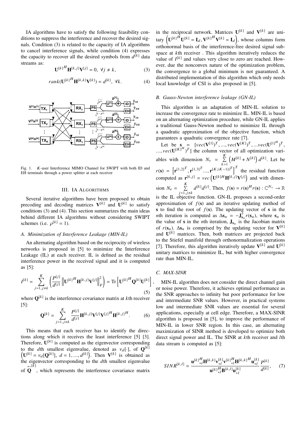IA algorithms have to satisfy the following feasibility conditions to suppress the interference and recover the desired signals. Condition (3) is related to the capacity of IA algorithms to cancel interference signals, while condition (4) expresses the capacity to recover all the desired symbols from  $d^{[k]}$  data streams as:

$$
\mathbf{U}^{[k]}^H \mathbf{H}^{[k,j]} \mathbf{V}^{[j]} = 0, \ \forall j \neq k,
$$
 (3)

$$
rank(\mathbf{U}^{[k]}^{H}\mathbf{H}^{[k,k]}\mathbf{V}^{[k]}) = d^{[k]}, \ \forall k. \tag{4}
$$



Fig. 1. K-user Interference MIMO Channel for SWIPT with both ID and EH terminals through a power splitter at each receiver

#### III. IA ALGORITHMS

Several iterative algorithms have been proposed to obtain precoding and decoding matrices  $V^{[k]}$  and  $U^{[k]}$  to satisfy conditions (3) and (4). This section summarizes the main ideas behind different IA algorithms without considering SWIPT schemes (i.e.  $\rho^{[k]} = 1$ ).

# *A. Minimization of Interference Leakage (MIN-IL)*

An alternating algorithm based on the reciprocity of wireless networks is proposed in [5] to minimize the Interference Leakage (IL) at each receiver. IL is defined as the residual interference power in the received signal and it is computed as [5]:

$$
I^{[k]} = \sum_{j=1, j \neq k}^{K} \left( \frac{P^{[j]}}{d^{[j]}} \left\| \mathbf{U}^{[k]}^{H} \mathbf{H}^{[k, j]} \mathbf{V}^{[j]} \right\|_{F}^{2} \right) = \text{Tr} \left[ \mathbf{U}^{[k]}^{H} \mathbf{Q}^{[k]} \mathbf{U}^{[k]} \right] \tag{5}
$$

where  $\mathbf{Q}^{[k]}$  is the interference covariance matrix at *k*th receiver [5]:

$$
\mathbf{Q}^{[k]} = \sum_{j=1,j\neq k}^{K} \frac{P^{[j]}}{d^{[j]}} \mathbf{H}^{[k,j]} \mathbf{V}^{[j]} \mathbf{V}^{[j]H} \mathbf{H}^{[k,j]}^{H}.
$$
 (6)

This means that each receiver has to identify the directions along which it receives the least interference [5] [3]. Therefore,  $U^{k}$  is computed as the eigenvector corresponding Therefore,  $U^{[k]}$  is computed as the eigenvector corresponding to the *d*th smallest eigenvalue, denoted as  $v_d[\cdot]$ , of  $\mathbf{Q}^{[k]}$ <br>(**I**[k]  $v \cdot \mathbf{Q}^{[k]}$ ]  $d-1$   $d^{[k]}$ ) Then  $\mathbf{V}^{[k]}$  is obtained as  $(\mathbf{U}^{[k]} = v_d[\mathbf{Q}^{[k]}], d = 1, ..., d^{[k]})$ . Then  $\mathbf{V}^{[k]}$  is obtained as the eigenvector corresponding to the *d*th smallest eigenvalue of **Q**, which represents the interference covariance matrix

in the reciprocal network. Matrices  $U^{[k]}$  and  $V^{[k]}$  are unitary  $(\mathbf{U}^{[k]}\mathbf{H}\mathbf{U}^{[k]} = \mathbf{I}_d, \mathbf{V}^{[k]}\mathbf{H}\mathbf{V}^{[k]} = \mathbf{I}_d)$ , whose columns form orthonormal basis of the interference-free desired signal subspace at *k*th receiver . This algorithm iteratively reduces the value of  $I^{[k]}$  and values very close to zero are reached. However, due the nonconvex nature of the optimization problem, the convergence to a global minimum is not guaranteed. A distributed implementation of this algorithm which only needs local knowledge of CSI is also proposed in [5].

### *B. Gauss-Newton interference leakage (GN-IL)*

This algorithm is an adaptation of MIN-IL solution to increase the convergence rate to minimize IL. MIN-IL is based on an alternating optimization procedure, while GN-IL applies a traditional Gauss-Newton method to minimize IL through a quadratic approximation of the objective function, which guarantees a quadratic convergence rate [7].

Let be  $\mathbf{s} = [vec(\mathbf{V}^{[1]})^T, ..., vec(\mathbf{V}^{[K]})^T, ...$ *vec* $(\mathbf{U}^{[1]H})^T$ <br>*vec* $(\mathbf{I}^{[K]H})^T$  the column vector of all ontimization var  $[K]^H$ )<sup>T</sup>] the column vector of all optimization vari-..., *vec*(<sup>U</sup> ables with dimension  $N_v = \sum_{i=1}^{K}$  $k=1$  $(M^{[k]} + N^{[k]}) d^{[k]}$ . Let be  $r(\mathbf{s}) = \left[\mathbf{r}^{[1,2]^T}, \mathbf{r}^{[1,3]^T} \dots, \mathbf{r}^{[K,(K-1)]^T}\right]^T$  the residual function computed as  $\mathbf{r}^{[k,j]} = vec\left(\mathbf{U}^{[k]H} \mathbf{H}^{[k,j]} \mathbf{V}^{[j]}\right)$  and with dimension  $N_e = \sum_{k=1}^{K}$  $j$ =1, $j$ ≠ $k$ hiectiv  $d^{[k]}d^{[j]}$ . Then,  $f(\mathbf{s}) = r(\mathbf{s})^H r(\mathbf{s}) : \mathbb{C}^{N_v} \to \mathbb{R}$ 

is the IL objective function. GN-IL proposes a second-order approximation of  $f(\mathbf{s})$  and an iterative updating method of s to find the root of  $f(s)$ . The updating vector of s in the *n*th iteration is computed as  $\Delta s_n = -\mathbf{J}_{s_n}^{\dagger} r(s_n)$ , where  $s_n$  is the value of **s** in the *n*th iteration,  $J_{s_n}$  is the Jacobian matrix of  $r(s_n)$ .  $\Delta s_n$  is comprised by the updating vector for  $V^{[k]}$ and  $U^{[k]}$  matrices. Then, both matrices are projected back to the Stiefel manifold through orthonormalization operations [7]. Therefore, this algorithm iteratively update  $V^{[k]}$  and  $U^{[k]}$ unitary matrices to minimize IL, but with higher convergence rate than MIN-IL.

#### *C. MAX-SINR*

,

MIN-IL algorithm does not consider the direct channel gain or noise power. Therefore, it achieves optimal performance as the SNR approaches to infinity but poor performance for low and intermediate SNR values. However, in practical systems low and intermediate SNR values are essential for several applications, especially at cell edge. Therefore, a MAX-SINR algorithm is proposed in [5], to improve the performance of MIN-IL in lower SNR region. In this case, an alternating maximization of SINR method is developed to optimize both direct signal power and IL. The SINR at *k*th receiver and *l*th data stream is computed as [5]:

$$
SINR^{[k,l]} = \frac{\mathbf{u}^{[k]}_{*l}^H \mathbf{H}^{[k,k]} \mathbf{v}^{[k]}_{*l} \mathbf{v}^{[k]} \mathbf{H}^{[k,k]} \mathbf{u}^{[k]}_{*l}}{\mathbf{u}^{[k]}_{*l}^H \mathbf{B}^{[k,l]} \mathbf{u}^{[k]}_{*l}} \frac{P^{[k]}}{d^{[k]}}, \qquad (7)
$$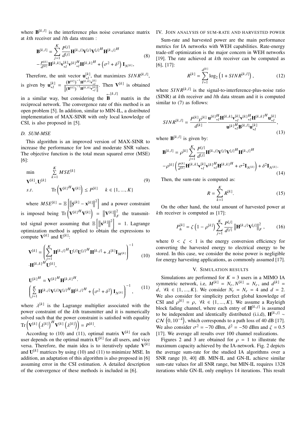where  $\mathbf{B}^{[k,l]}$  is the interference plus noise covariance matrix at *k*th receiver and *l*th data stream :

$$
\mathbf{B}^{[k,l]} = \sum_{j=1}^{K} \frac{P^{[j]}}{d^{[j]}} \mathbf{H}^{[k,j]} \mathbf{V}^{[j]} \mathbf{V}^{[j]H} \mathbf{H}^{[k,j]}^{H}
$$
  
 
$$
-\frac{P^{[k]}}{d^{[k]}} \mathbf{H}^{[k,k]} \mathbf{v}^{[k]} \mathbf{v}^{[k]} \mathbf{V}^{[k]} \mathbf{H}^{[k,k]}^{H} + (\sigma^2 + \delta^2) \mathbf{I}_{N^{[k]}},
$$
 (8)

Therefore, the unit vector  $\mathbf{u}_{*l}^{[k]}$ , that maximizes  $SINR^{[k,l]}$ , ∗l is given by  $\mathbf{u}_{*l}^{[k]} = \frac{(\mathbf{B}^{kl})^{-1} \mathbf{H}^{[k,k]} \mathbf{v}_{*l}^{[k]}}{\left\|(\mathbf{B}^{kl})\right\|^{-1} \mathbf{H}^{[k,k]} \mathbf{v}_{*l}^{[k]}\right\|}$ . Then  $V^{[k]}$  is obtained  $\mathbf{P}^{[k,l]}$ 

in a similar way, but considering the B matrix in the reciprocal network. The convergence rate of this method is an open problem [5]. In addition, similar to MIN-IL, a distributed implementation of MAX-SINR with only local knowledge of CSI, is also proposed in [5].

## *D. SUM-MSE*

This algorithm is an improved version of MAX-SINR to increase the performance for low and moderate SNR values. The objective function is the total mean squared error (MSE) [6]:

$$
\min_{\mathbf{V}^{[k]}, \mathbf{U}^{[k]}} \sum_{k=1}^{K} MSE^{[k]}
$$
\n
$$
\mathbf{V}^{[k]}, \mathbf{U}^{[k]} \qquad \text{Tr}\left(\mathbf{V}^{[k]}^H \mathbf{V}^{[k]}\right) \le P^{[k]} \qquad k \in \{1, ..., K\}
$$
\n(9)

where  $MSE^{[k]} = \mathbb{E}\left[ \left\| \hat{\mathbf{y}}^{[k]} - \mathbf{x}^{[k]} \right\| \right]$  $\left[2\right]$  and a power constraint is imposed being  $\text{Tr}\left(\mathbf{V}^{[k]}^H \mathbf{V}^{[k]}\right) = \|\mathbf{V}^{[k]}\|$ 2  $\sum_{F}$  the transmitted signal power assuming that  $\mathbb{E}\left[\|\mathbf{x}^{[k]}\right]$  $\begin{bmatrix} 2 \\ 2 \end{bmatrix}$  = 1. Lagrange optimization method is applied to obtain the expressions to compute  $V^{[k]}$  and  $U^{[k]}$ :

$$
\mathbf{V}^{[k]} = \left(\sum_{j=1}^{K} \mathbf{H}^{[k,j]}^{H} \mathbf{U}^{[j]} \mathbf{U}^{[j]}^{H} \mathbf{H}^{[k,j]} + \lambda^{[k]} \mathbf{I}_{M^{[k]}}\right)^{-1}
$$
(10)

$$
\mathbf{U}^{[k]H} = \mathbf{V}^{[k]H} \mathbf{H}^{[k,k]H}.
$$
  

$$
\left( \sum_{j=1}^{K} \mathbf{H}^{[k,j]} \mathbf{V}^{[j]} \mathbf{V}^{[j]}^H \mathbf{H}^{[k,j]}^H + (\sigma^2 + \delta^2) \mathbf{I}_{N^{[k]}} \right)^{-1},
$$
 (11)

where  $\lambda^{[k]}$  is the Lagrange multiplier associated with the nower constraint of the *k*<sup>th</sup> transmitter and it is numerically power constraint of the *k*th transmitter and it is numerically solved such that the power constraint is satisfied with equality  $\text{Tr}\left(\mathbf{V}^{[k]} \left(\lambda^{[k]}\right)^H \mathbf{V}^{[k]} \left(\lambda^{[k]}\right)\right) = P^{[k]}.$ λ λ

According to (10) and (11), optimal matrix  $V^{[k]}$  for each user depends on the optimal matrix  $\mathbf{U}^{[k]}$  for all users, and vice versa. Therefore, the main idea is to iteratively update  $V^{[k]}$ and  $U^{[k]}$  matrices by using (10) and (11) to minimize MSE. In addition, an adaptation of this algorithm is also proposed in [6] assuming error in the CSI estimation. A detailed description of the convergence of these methods is included in [6].

#### IV. JOIN ANALYSIS OF SUM-RATE AND HARVESTED POWER

Sum-rate and harvested power are the main performance metrics for IA networks with WEH capabilities. Rate-energy trade-off optimization is the major concern in WEH networks [19]. The rate achieved at *k*th receiver can be computed as [6], [17]:

$$
R^{[k]} = \sum_{l=1}^{d^{[k]}} \log_2 \left( 1 + SINR^{[k,l]} \right),\tag{12}
$$

where  $SINR^{[k,l]}$  is the signal-to-interference-plus-noise ratio (SINR) at *k*th receiver and *l*th data stream and it is computed similar to  $(7)$  as follows:

$$
SINR^{[k,l]} = \frac{P^{[k]}\rho^{[k]}}{d^{[k]}} \frac{\mathbf{u}^{[k]}\mathbf{H}^{[k,k]}\mathbf{v}_{*l}^{[k]}\mathbf{v}_{*l}^{[k]}\mathbf{H}^{[k,k]}\mathbf{u}_{*l}^{[k]}}{\mathbf{u}^{[k]}\mathbf{H}^{[k,l]}\mathbf{u}_{*l}^{[k]}},\tag{13}
$$

where  $\mathbf{B}^{[k,l]}$  is given by:

$$
\mathbf{B}^{[k,l]} = \rho^{[k]} \sum_{j=1}^{K} \frac{P^{[j]}}{d^{[j]}} \mathbf{H}^{[k,j]} \mathbf{V}^{[j]} \mathbf{V}^{[j]H} \mathbf{H}^{[k,j]H}
$$

$$
-\rho^{[k]} \left( \frac{P^{[k]}}{d^{[k]}} \mathbf{H}^{[k,k]} \mathbf{V}^{[k]}_{*l} \mathbf{V}^{[k]} \mathbf{H}^{[k,k]}^{H} + \sigma^2 \mathbf{I}_{N^{[k]}} \right) + \delta^2 \mathbf{I}_{N^{[k]}}.
$$
(14)

Then, the sum-rate is computed as:

$$
R = \sum_{k=1}^{K} R^{[k]}.
$$
 (15)

On the other hand, the total amount of harvested power at *k*th receiver is computed as [17]:

$$
P_h^{[k]} = \zeta \left( 1 - \rho^{[k]} \right) \sum_{j=1}^K \frac{P^{[j]}}{d^{[j]}} \left\| \mathbf{H}^{[k,j]} \mathbf{V}^{[j]} \right\|_F^2, \qquad (16)
$$

where  $0 < \zeta < 1$  is the energy conversion efficiency for converting the harvested energy to electrical energy to be stored. In this case, we consider the noise power is negligible for energy harvesting applications, as commonly assumed [17].

#### V. SIMULATION RESULTS

Simulations are performed for  $K = 3$  users in a MIMO IA symmetric network, i.e,  $M^{[k]} = N_t, N^{[k]} = N_r$ , and  $d^{[k]} = d$ <br> $d \forall k \in \{1, \dots, K\}$  We consider  $N = N - 4$  and  $d = 2$ *d*,  $\forall k \in \{1, ..., K\}$ . We consider  $N_t = N_r = 4$  and  $d = 2$ . We also consider for simplicity perfect global knowledge of CSI and  $\rho^{[k]} = \rho$ ,  $\forall k \in \{1, ..., K\}$ . We assume a Rayleigh block fading channel, where each entry of  $\mathbf{H}^{[k,j]}$  is assumed block fading channel, where each entry of  $\mathbf{H}^{[k,j]}$  is assumed to be independent and identically distributed (i.i.d),  $\mathbf{H}^{[k,j]}$  ~  $CN$  (0, 10<sup>-4</sup>), which corresponds to a path loss of 40 dB [17]. We also consider  $\sigma^2 = -70$  dBm,  $\delta^2 = -50$  dBm and  $\zeta = 0.5$ <br>[17] We average all results over 100 channel realizations [17]. We average all results over 100 channel realizations.

Figures 2 and 3 are obtained for  $\rho = 1$  to illustrate the maximum capacity achieved by the IA-network. Fig. 2 depicts the average sum-rate for the studied IA algorithms over a SNR range [0, 40] dB. MIN-IL and GN-IL achieve similar sum-rate values for all SNR range, but MIN-IL requires 1328 iterations while GN-IL only employs 14 iterations. This result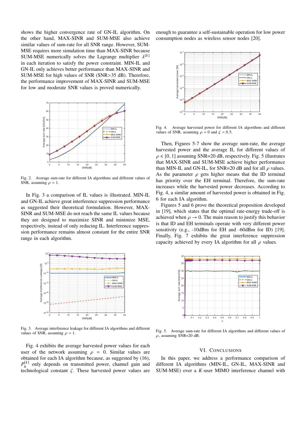shows the higher convergence rate of GN-IL algorithm. On the other hand, MAX-SINR and SUM-MSE also achieve similar values of sum-rate for all SNR range. However, SUM-MSE requires more simulation time than MAX-SINR because SUM-MSE numerically solves the Lagrange multiplier  $\lambda^{[k]}$ <br>in each iteration to satisfy the nower constraint MIN-II and in each iteration to satisfy the power constraint. MIN-IL and GN-IL only achieves better performance than MAX-SINR and SUM-MSE for high values of SNR (SNR>35 dB). Therefore, the performance improvement of MAX-SINR and SUM-MSE for low and moderate SNR values is proved numerically.



Fig. 2. Average sum-rate for different IA algorithms and different values of SNR, assuming  $\rho = 1$ .

In Fig. 3 a comparison of IL values is illustrated. MIN-IL and GN-IL achieve great interference suppression performance as suggested their theoretical formulation. However, MAX-SINR and SUM-MSE do not reach the same IL values because they are designed to maximize SINR and minimize MSE, respectively, instead of only reducing IL. Interference suppression performance remains almost constant for the entire SNR range in each algorithm.



Fig. 3. Average interference leakage for different IA algorithms and different values of SNR, assuming  $\rho = 1$ .

Fig. 4 exhibits the average harvested power values for each user of the network assuming  $\rho = 0$ . Similar values are obtained for each IA algorithm because, as suggested by (16),  $P^{[k]}_{\scriptscriptstyle h}$  $h_h^{[k]}$  only depends on transmitted power, channel gain and technological constant  $\zeta$ . These harvested power values are

enough to guarantee a self-sustainable operation for low power consumption nodes as wireless sensor nodes [20].



Fig. 4. Average harvested power for different IA algorithms and different values of SNR, assuming  $\rho = 0$  and  $\zeta = 0.5$ .

Then, Figures 5-7 show the average sum-rate, the average harvested power and the average IL for different values of  $\rho \in [0, 1]$  assuming SNR=20 dB, respectively. Fig. 5 illustrates that MAX-SINR and SUM-MSE achieve higher performance than MIN-IL and GN-IL, for SNR=20 dB and for all  $\rho$  values. As the parameter  $\rho$  gets higher means that the ID terminal has priority over the EH terminal. Therefore, the sum-rate increases while the harvested power decreases. According to Fig. 4, a similar amount of harvested power is obtained in Fig. 6 for each IA algorithm.

Figures 5 and 6 prove the theoretical proposition developed in [19], which states that the optimal rate-energy trade-off is achieved when  $\rho \rightarrow 0$ . The main reason to justify this behavior is that ID and EH terminals operate with very different power sensitivity (e.g., -10dBm for EH and -60dBm for ID) [19]. Finally, Fig. 7 exhibits the great interference suppression capacity achieved by every IA algorithm for all  $\rho$  values.



Fig. 5. Average sum-rate for different IA algorithms and different values of  $\rho$ , assuming SNR=20 dB.

#### VI. CONCLUSIONS

In this paper, we address a performance comparison of different IA algorithms (MIN-IL, GN-IL, MAX-SINR and SUM-MSE) over a *K*-user MIMO interference channel with